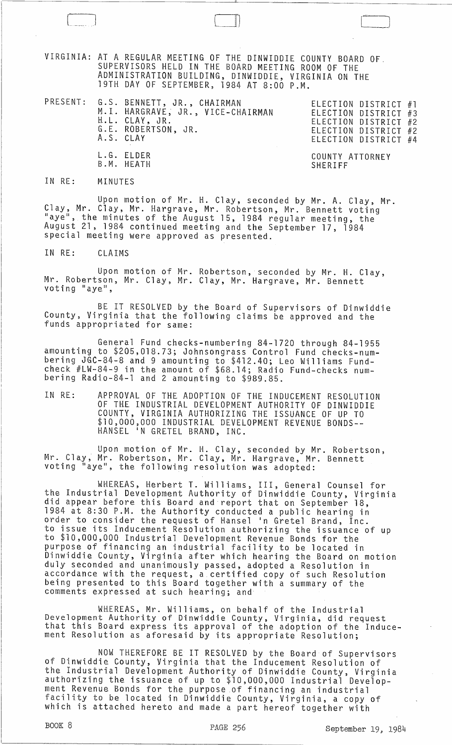VIRGINIA: AT A REGULAR MEETING OF THE DINWIDDIE COUNTY BOARD OF. SUPERVISORS HELD IN THE BOARD MEETING ROOM OF THE ADMINISTRATION BUILDING, DINWIDDIE, VIRGINIA ON THE 19TH DAY OF SEPTEMBER, 1984 AT 8:00 P.M.

PRESENT: G.S. BENNETT, JR., CHAIRMAN ELECTION DISTRICT #1 ELECTION DISTRICT #1<br>ELECTION DISTRICT #3 ELECTION DISTRICT #2 ELECTION DISTRICT #2 ELECTION DISTRICT #4 M.I. HARGRAVE, JR., VICE-CHAIRMAN H.L. CLAY, JR. G.E. ROBERTSON, JR. A.S. CLAY L.G. ELDER B.M. HEATH COUNTY ATTORNEY SHERIFF

[ J 01 l '---\_J

IN RE: MINUTES

Upon motion of Mr. H. Clay, seconded by Mr. A. Clay, Mr. Clay, Mr. Clay, Mr. Hargrave, Mr. Robertson, Mr. Bennett voting "aye", the minutes of the August 15, 1984 regular meeting, the August 21, 1984 continued meeting and the September 17, 1984 special meeting were approved as presented.

IN RE: CLAIMS

Upon motion of Mr. Robertson, seconded by Mr. H. Clay, Mr. Robertson, Mr. Clay, Mr. Clay, Mr. Hargrave, Mr. Bennett voting "aye",

BE IT RESOLVED by the Board of Supervisors of Dinwiddie County, Virginia that the following claims be approved and the funds appropriated for same:

General Fund checks-numbering 84-1720 through 84-1955 amounting to \$205,018.73; Johnsongrass Control Fund checks-numbering JGC-84-8 and 9 amounting to \$412.40; Leo Williams Fundcheck #LW-84-9 in the amount of \$68.14; Radio Fund-checks numbering Radio-84-1 and 2 amounting to \$989.85.

IN RE: APPROVAL OF THE ADOPTION OF THE INDUCEMENT RESOLUTION OF THE INDUSTRIAL DEVELOPMENT AUTHORITY OF DINWIDDIE COUNTY, VIRGINIA AUTHORIZING THE ISSUANCE OF UP TO \$10,000,000 INDUSTRIAL DEVELOPMENT REVENUE BONDS-- HANSEL IN GRETEL BRAND, INC.

Upon motion of Mr. H. Clay, seconded by Mr. Robertson, Mr. Clay, Mr. Robertson, Mr. Clay, Mr. Hargrave, Mr. Bennett voting "aye", the foll owing resol ution was adopted:

WHERE.AS, Herbert T. Williams, III, General Counsel for the Industrial Development Authority of Dinwiddie County, Virginia did appear before this Board and report that on September 18, 1984 at 8:30 P.M. the Authority conducted a public hearing in order to consider the request of Hansel 'n Gretel Brand, Inc. to issue its Inducement Resolution authorizing the issuance of up to \$10,000,000 Industrial Development Revenue Bonds for the purpose of financing an industrial facility to be located in Dinwiddie County, Virginia after which hearing the Board on motion duly seconded and unanimously passed, adopted a Resolution in accordance with the request, a certified copy of such Resolution being presented to this Board together with a summary of the comments expressed at such hearing; and

WHEREAS, Mr. Williams, on behalf of the Industrial Development Authority of Dinwiddie County, Virginia, did request<br>that this Board express its approval of the adoption of the Inducement Resolution as aforesaid by its appropriate Resolution;

NOW THEREFORE BE IT RESOLVED by the Board of Supervisors of Dinwiddie County, Virginia that the Inducement Resolution of the Industrial Development Authority of Dinwiddie County, Virginia authorizing the issuance of up to \$10,000,000 Industrial Development Revenue Bonds for the purpose .of financing an industrial facility to be located in Dinwiddie County, Virginia, a copy of which is attached hereto and made a part hereof together with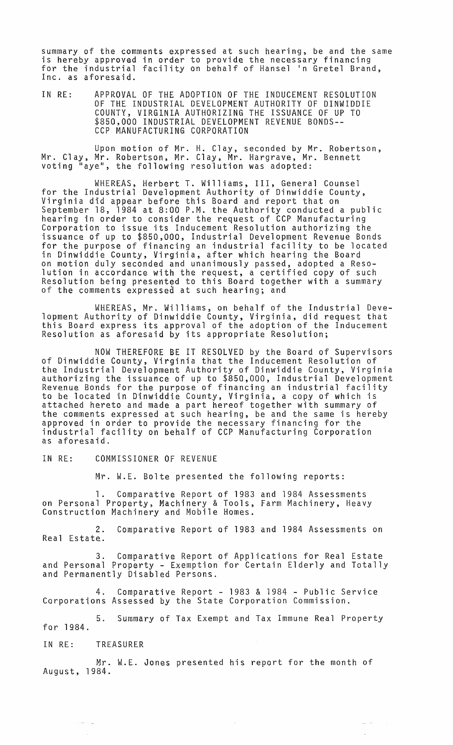summary of the comments expressed at such hearing, be and the same is hereby approved in order to provide the necessary financing for the industrial facility on behalf of Hansel In Gretel Brand, Inc. as aforesaid.

IN RE: APPROVAL OF THE ADOPTION OF THE INDUCEMENT RESOLUTION OF THE INDUSTRIAL DEVELOPMENT AUTHORITY OF DINWIDDIE COUNTY, VIRGINIA AUTHORIZING THE ISSUANCE OF UP TO \$850,000 INDUSTRIAL DEVELOPMENT REVENUE BONDS-- CCP MANUFACTURING CORPORATION

Upon motion of Mr. H. Clay, seconded by Mr. Robertson, Mr. Clay, Mr. Robertson, Mr. Clay, Mr. Hargrave, Mr. Bennett voting "aye", the following resolution was adopted:

WHEREAS, Herbert T. Williams, III, General Counsel for the Industrial Development Authority of Dinwiddie County, Virginia did appear before this Board and report that on September 18, 1984 at 8:00 P.M. the Authority conducted a public hearing in order to consider the request of CCP Manufacturing Corporation to issue its Inducement Resolution authorizing the issuance of up to \$850,000, Industrial Development Revenue Bonds for the purpose of financing an industrial facility to be located in Dinwiddie County, Virginia, after which hearing the Board on motion duly seconded and unanimously passed, adopted a Resolution in accordance with the request, a certified copy of such Resolution being presented to this Board together with a summary of the comments expressed at such hearing; and

WHEREAS, Mr. Williams, on behalf of the Industrial Development Authority of Dinwiddie County, Virginia, did request that this Board express its approval of the adoption of the Inducement Resolution as aforesaid by its appropriate Resolution;

NOW THEREFORE BE IT RESOLVED by the Board of Supervisors of Dinwiddie County, Virginia that the Inducement Resolution of the Industrial Development Authority of Dinwiddie County, Virginia authorizing the issuance of up to \$850,000, Industrial Development Revenue Bonds for the purpose of financing an industrial facility to be located in Dinwiddie County, Virginia, a copy of which is attached hereto and made a part hereof together with summary of the comments expressed at such hearing, be and the same is hereby approved in order to provide the necessary financing for the industrial facility on behalf of CCP Manufacturing Corporation as aforesaid.

IN RE: COMMISSIONER OF REVENUE

Mr. W.E. Bolte presented the following reports:

1. Comparative Report of 1983 and 1984 Assessments on Personal Property, Machinery & Tools, Farm Machinery, Heavy Construction Machinery and Mobile Homes.

2. Comparative Report of 1983 and 1984 Assessments on Real Estate.

3. Comparative Report of Applications for Real Estate and Personal Property - Exemption for Certain Elderly and Totally and Permanently Disabled Persons.

4. Comparative Report - 1983 & 1984 - Public Service Corporations Assessed by the State Corporation Commission.

for 1984. 5. Summary of Tax Exempt and Tax Immune Real Property

IN RE: TREASURER

والمنتبذ

Mr. W.E. Jones presented his report for the month of August, 1984.

> $\bar{\rho}_{\rm{max}} = \bar{\rho}_{\rm{max}}$ L.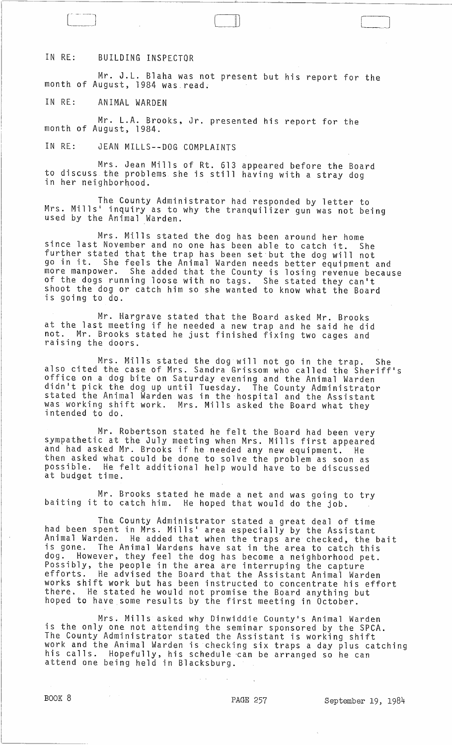## IN RE: BUILDING INSPECTOR

Mr. J.L. Blaha was not present but his report for the month of August, 1984 was. read.

Lll

IN RE: ANIMAL WARDEN

Mr. L.A. Brooks, Jr. presented his report for the month of August, 1984.

IN RE: JEAN MILLS--DOG COMPLAINTS

Mrs. Jean Mills of Rt. 613 appeared before the Board to discuss the problems she is still having with a stray dog in her neighborhood.

The County Administrator had responded by letter to Mrs. Mills' inquiry as to why the tranquilizer gun was not being<br>used by the Animal Warden.

Mrs. Mills stated the dog has been around her home since last November and no one has been able to catch it. She further stated that the trap has been set but the dog will not go in it. She feels the Animal Warden needs better equipment and more manpower. She added that the County is losing revenue because of the dogs running loose with no tags. She stated they can't shoot the dog or catch him so she wanted to know what the Board is going to do.

Mr. Hargrave stated that the Board asked Mr. Brooks at the last meeting if he needed a new trap and he said he did not. Mr. Brooks stated he just finished fixing two cages and raising the doors.

Mrs. Mills stated the dog will not go in the trap. She also cited the case of Mrs. Sandra Grissom who called the Sheriff's office on a dog bite on Saturday evening and the Animal Warden didn1t pick the dog up until Tuesday. The County Administrator stated the Animal Warden was in the hospital and the Assistant was working shift work. Mrs. Mills asked the Board what they intended to do.

Mr. Robertson stated he felt the Board had been very sympathetic at the July meeting when Mrs. Mills first appeared and had asked Mr. Brooks if he needed any new equipment. He then asked what could be done to solve the problem as soon as possible. He felt additional help would have to be discussed at budget time.

Mr. Brooks stated he made a net and was going to try baiting it to catch him. He hoped that would do the job.

The County Administrator stated a great deal of time had been spent in Mrs. Mills' area especially by the Assistant Animal Warden. He added that when the traps are checked, the bait is gone. The Animal Wardens have sat in the area to catch this dog. However, they feel the dog has become a neighborhood pet. Possibly, the people in the area are interruping the capture efforts. He advised the Board that the Assistant Animal Warden works shift work but has been instructed to concentrate his effort there. He stated he would not promise the Board anything but hoped to have some results by the first meeting in October.

Mrs. Mills asked why Dinwiddie County's Animal Warden is the only one not attending the seminar sponsored by the SPCA. The County Administrator stated the Assistant is working shift work and the Animal Warden is checking six traps a day plus catching his calls. Hopefully, his schedule ·can be arranged so he can attend one being held in Blacksburg.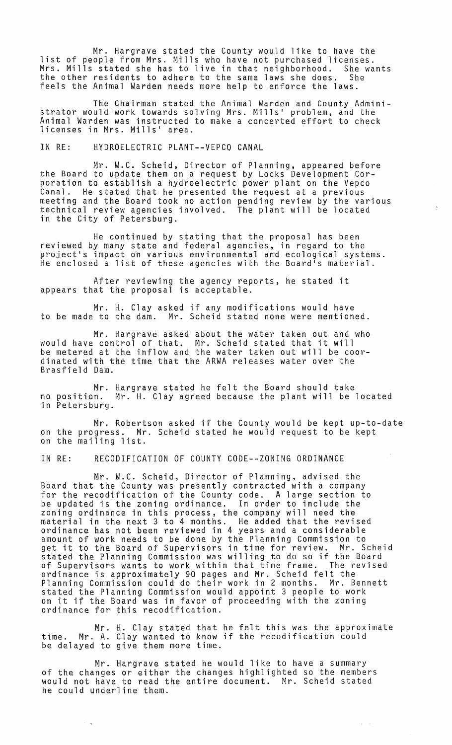Mr. Hargrave stated the County would like to have the list of people from Mrs. Mills who have not purchased licenses. Mrs. Mills stated she has to live in that neighborhood. She wants<br>the other residents to adhere to the same laws she does. She the other residents to adhere to the same laws she does. feels the Animal Warden needs more help to enforce the laws.

The Chairman stated the Animal Warden and County Administrator would work towards solving Mrs. Mills' problem, and the Animal Warden was instructed to make a concerted effort to check licenses in Mrs. Mills' area.

## IN RE: HYDROELECTRIC PLANT--VEPCO CANAL

Mr. W.C. Scheid, Director of Planning, appeared before the Board to update them on a request by Locks Development Corporation to establish a hydroelectric power plant on the Vepco Canal. He stated that he presented the request at a previous meeting and the Board took no action pending review by the various technical review agencies involved. The plant will be located in the City of Petersburg.

He continued by stating that the proposal has been reviewed by many state and federal agencies, in regard to the project's impact on various environmental and ecological systems. He enclosed a list of these agencies with the Board's material.

After reviewing the agency reports, he stated it appears that the proposal is acceptable.

Mr. H. Clay asked if any modifications would have to be made to the dam. Mr. Scheid stated none were mentioned.

Mr. Hargrave asked about the water taken out and who would have control of that. Mr. Scheid stated that it will be metered at the inflow and the water taken out will be coordinated with the time that the ARWA releases water over the Brasfield Dam.

Mr. Hargrave stated he felt the Board should take no position. Mr. H. Clay agreed because the plant will be located in Petersburg.

Mr. Robertson asked if the County would be kept up-to-date on the progress. Mr. Scheid stated he would request to be kept on the mailing list.

## IN RE: RECODIFICATION OF COUNTY CODE--ZONING ORDINANCE

Mr. W.C. Scheid, Director of Planning, advised the Board that the County was presently contracted with a company for the recodification of the County code. A large section to be updated is the zoning ordinance. In order to include the zoning ordinance in this process, the company will need the material in the next 3 to 4 months. He added that the revised ordinance has not been reviewed in 4 years and a considerable amount of work needs to be done by the Planning Commission to get it to the Board of Supervisors in time for review. Mr. Scheid stated the Planning Commission was willing to do so if the Board of Supervisors wants to work within that time frame. The revised ordinance is approximately 90 pages and Mr. Scheid felt the Planning Commission could do their work in 2 months. Mr. Bennett stated the Planning Commission would appoint 3 people to work on it if the Board was in favor of proceeding with the zoning ordinance for this recodification.

Mr. H. Clay stated that he felt this was the approximate time. Mr. A. Clay wanted to know if the recodification could be delayed to give them more time.

 $\omega_{\rm c} = \omega_{\rm c}$ 

Mr. Hargrave stated he would like to have a summary of the changes or either the changes highlighted so the members would not have to read the entire document. Mr. Scheid stated he could underline them.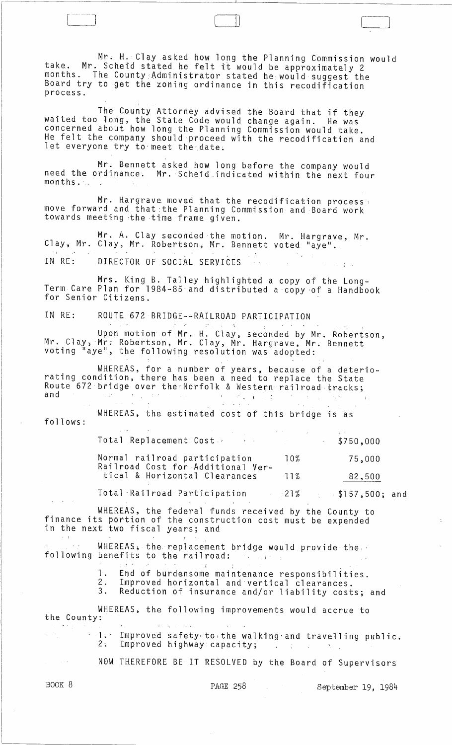Mr; H. Clay asked how long the Planning Commission would take. Mr. Scheid stated he felt it would be approximately 2 months. The County Administrator stated he would suggest the Board try to get the zoning ordinance in this recodification process.

 $\Box$ 

The County Attorney advised the Board that if they waited too long, the State Code would change again. He was concerned about how long the Planning Commission would take. He felt the company should proceed with the recodification and let everyone try to meet the date.

Mr. Bennett asked how long before the company would need the ordinance. Mr. Scheid indicated within the next four  $months$ .  $\ldots$  ;

Mr. Hargrave moved that the recodification process: move forward and that:the Planning Commission and Board work towards meeting the time frame given.

Mr. A. Clay seconded the motion. Mr. Hargrave, Mr. Clay, Mr. Clay, Mr. Robertson, Mr. Bennett voted "aye".  $\mathcal{I}^{\mathcal{I}}(\mathcal{X})$  . IN RE: DIRECTOR OF SOCIAL SERVICES

Mrs. King B. Talley highlighted a copy of the Long-Term Care Plan for 1984-85 and distributed a 'copy 'of a Handbook for Senior Citizens.

IN RE: ROUTE 672 BRIDGE--RAILROAD PARTICIPATION

Upon motion of Mr. H. Clay, seconded by Mr. Robertson, Mr. Clay, MY,; Robertson, Mr. Clay, Mr. Hargrave, Mr. Bennett voting "aye", the following resolution was adopted:

WHEREAS, for a number of years, because of a deteriorating condition, there has been a need to replace the State Route 672 bridge over the Norfolk & Western railroad tracks;

follows: WHEREAS, the estimated cost of this bridge is as .<br>. '

 $\mathcal{L}^{\mathcal{L}}$ 

| Total Replacement Cost<br><b>Contract Manager</b>                  |                 | \$750,000 |
|--------------------------------------------------------------------|-----------------|-----------|
| Normal railroad participation<br>Railroad Cost for Additional Ver- | 10 <sup>%</sup> | 75,000    |
| tical & Horizontal Clearances                                      | 1 1 %           | 82,500    |

 $\mathcal{O}(\mathcal{O}(\log n))$ 

Total 'Railroad Participation .21% \$157,500; and

WHEREAS, the federal funds received by the County to finance its portion of the construction cost must be expended in the next two fiscal years; and

WHEREAS, the replacement bridge would provide the following benefits to the railroad:

It is a set of the set of the set of the set of the set of the set of the set of the set of the set of the set of the set of the set of the set of the set of the set of the set of the set of the set of the set of the set 1. End of burdensome maintenance responsibilities.<br>2. Improved horizontal and vertical clearances.

2. Improved horizontal and vertical clearances.<br>3. Reduction of insurance and/or liability cost

Reduction of insurance and/or liability costs; and

WHEREAS, the following improvements would accrue to the County:

1. Improved safety to the walking and travelling public.<br>2: Improved highway capacity;

NOW THEREFORE BE IT RESOLVED by the Board of Supervisors

BOOK 8

PAGE 258 September 19, 1984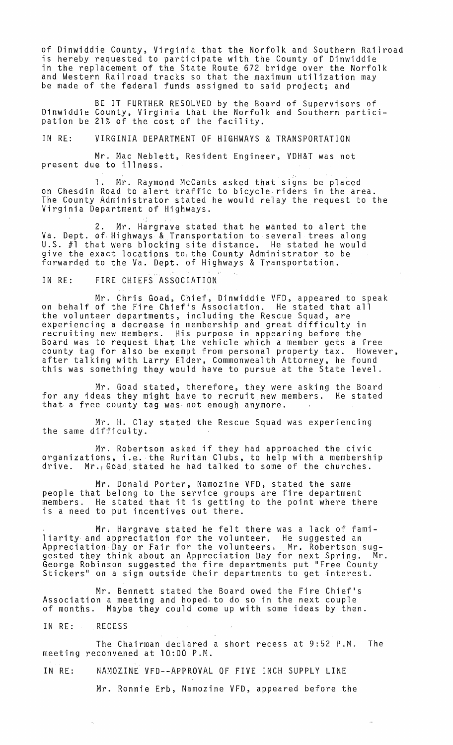of Dinwiddie County, Virginia that the Norfolk and Southern Railroad is hereby requested to participate with the County of Dinwiddie in the replacement of the State Route 672 bridge over the Norfolk and Western Railroad tracks so that the maximum utilization may be made of the federal funds assigned to said project; and

BE IT FURTHER RESOLVED by the Board of Supervisors of Dinwiddie County, Virginia that the Norfolk and Southern participation be 21% of the cost of the facility.

IN RE: VIRGINIA DEPARTMENT OF HIGHWAYS & TRANSPORTATION

Mr. Mac Neblett, Resident Engineer, VDH&T was not present due to illness.

1. Mr. Raymond McCants asked that signs be placed on Chesdin Road to alert traffic to bicycle,riders in the area. The County Administrator stated he would relay the request to the Virginia Department of Highways.

2. Mr. Hargrave stated that he wanted to alert the Va. Dept. of Highways & Transportation to several trees along U.S. #1 that were blocking site distance. He stated he would give the exact locations to, the County Administrator to be forwarded to the Va. Dept. of Highways & Transportation.

IN RE: FIRE CHIEFS ASSOCIATION

Mr. Chris Goad, Chief, Dinwiddie VFD, appeared to speak on behalf of the Fire Chief's Association. He stated that all the volunteer departments, including the Rescue Squad, are experiencing a decrease in membership and great difficulty in recruiting new members. His purpose in appearing before the Board was to request that the vehicle which a member gets a free county tag for also be exempt from personal property tax. However, county tag for also be exempt from personal property tax. However,<br>after talking with Larry Elder, Commonwealth Attorney, he found this was something they would have to pursue at the State level.

Mr. Goad stated, therefore, they were asking the Board for any ideas they might have to recruit new members. He stated that a free county tag was- not enough anymore.

Mr. H. Clay stated the Rescue Squad was experiencing the same difficulty.

Mr. Robertson asked if they had approached the civic arganizations, i.e. the Ruritan Clubs, to help with a membership drive. Mr.1 Goad stated he had talked to some of the churches.

Mr. Donald Porter, Namozine VFD, stated the same people that belong to the service groups are fire department people that belong to the service groups are life department<br>members. He stated that it is getting to the point where there is a need to put incentives out there.

Mr. Hargrave stated he felt there was a lack of familiarity and appreciation for the volunteer. He suggested an Appreciation Day or Fair for the volunteers, Mr. Robertson sug- ${\tt g}_\mathtt{e}$  they think about an Appreciation Day for next Spring.  $\,$  Mr. George Robinson suggested the fire departments put "Free County Stickers" on a sign outside their departments to get interest.

Mr. Bennett stated the Board owed the Fire Chief's Association a meeting and hoped, to do so in the next couple of months. Maybe they could come up with some ideas by then.

IN RE: RECESS

The Chairman declared a short recess at 9:52 P.M. The meeting reconvened at 10:00 P.M.

IN RE: NAMOZINE VFD--APPROVAL OF FIVE INCH SUPPLY LINE

Mr. Ronnie Erb, Namozine VFD, appeared before the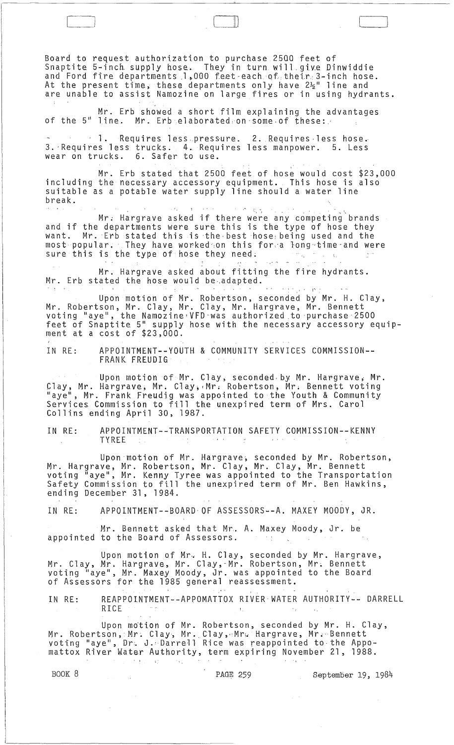Board to request authorization to purchase 2500 feet of Snaptite 5-incb. supply hose\_. They in turn will\_giv\_e Dinwiddie and Ford fire departments 1,000 feet each of their.3-inch hose. At the present time, these departments only have  $2\frac{1}{2}$ " line and are unable to assist Namozine on large fires or in using hydrants.

Mr. Erb showed a short film explaining the advantages of the 5" line. Mr. Erb elaborated on some of these:

1. Requires less pressure. 2. Requires less hose. 3. Requires less trucks. 4. Requires less manpower. 5. Less wear on trucks. 6. Safer to use.

.<br>Mr. Erb stated that 2500 feet of hose would cost \$23,000 including the necessary accessory equipment. This hose is also suitable as a potable water supply line should a water line<br>break break. . ... :- ...

Mr. Hargrave asked if there were any competing brands and if the departments were sure this is the type of hose they want. Mr. Erb stated this is the best hose being used and the most popular. They have worked on this for a long time and were sure this is the type of hose they need. *r'* ,-"" <sup>~</sup>

Mr. Hargrave asked about fitting the fire hydrants. Mr. Erb stated the hose would be adapted.<br>It is a little state of the state of the state of the state of the state of the state of the state of the stat

Upon motion of Mr. Robertson, seconded by Mr. H. Clay, Mr. Robertson, Mr. Clay, Mr. Clay, Mr. Hargrave, Mr. Bennett with the server , the Namozine VFD was authorized to purchase 2500 feet of Snaptite 5" supply hose with the necessary accessory equipment at a cost of \$23,000.

IN RE: APPOINTMENT--YOUTH & COMMUNITY SERVICES COMMISSION-- FRANK. FREUDIG

Upon motion of  $Mr.$  Clay, seconded by Mr. Hargrave, Mr. Clay, Mr. Hargrave, Mr. Clay, Mr. Robertson, Mr. Bennett voting "aye", Mr. Frank Freudig was appointed to the Youth & Community Services Commission to fill the unexpired term of Mrs. Carol Collins ending April 30, 1987.

IN RE: APPOINTMENT--TRANSPORTATION SAFETY COMMISSION--KENNY<br>TYREE TYREE  $\mathcal{L} = \{1,2,3\}$ 

Upon'motion of Mr. Hargrave~ seconded by Mr. Robertson, Mr. Hargrave, Mr. Robertson, Mr. Clay, Mr. Clay, Mr. Bennett<br>voting "aye", Mr. Kenny Tyree was appointed to the Transportation Safety Commission to fill the unexpired term of Mr. Ben Hawkins, ending December 31, 1984.

IN RE: APPOINTMENT--BOARD'OF ASSESSORS--A. MAXEY MOODY, JR.

Mr. Bennett asked that Mr. A. Maxey Moody, Jr. be appointed to the Board of Assessors.  $\mathcal{F}(\mathcal{X})$  $\sim 10^7$ 

Upon motion of Mr. H. Clay, seconded by Mr. Hargrave, Mr. Clay, Mr. Hargrave, Mr. Clay,-Mr. Robertson, Mr~ Bennett voting II aye" , Mr. Maxey Moody, Jr. was appointed to the Board of Assessors for the 1985 general reassessment.

IN RE.: REAPPOINTMENT--APPOMATTOX RIVER WATER AUTHORITY-- DARRELL RICE

Upon moti<mark>on of Mr. Robertson, seconded by Mr. H. Clay,</mark> Mr. Robertson, Mr. Clay, Mr. Clay, Mr. Hargrave, Mr. Bennett voti:ng "ayel', Dr;. J .:Darrell Rice was reappointed to· the Appomattox River Water Authority, term expiring November 21, 1988.

BOOK 8 **PAGE 259** September 19, 1984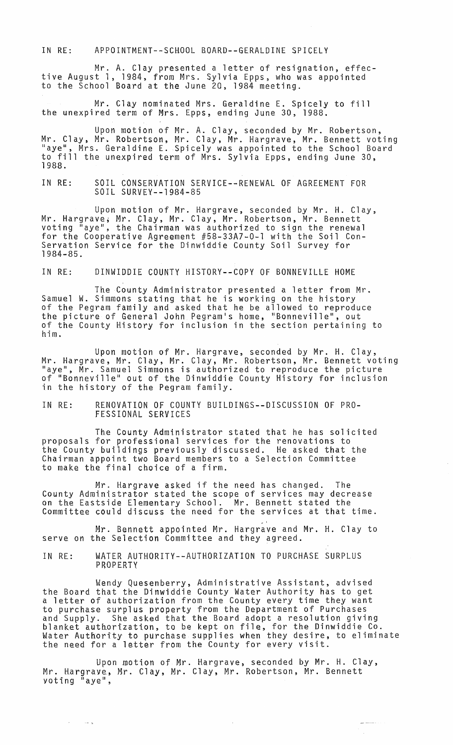IN RE: APPOINTMENT--SCHOOL BOARD--GERALDINE SPICELY

Mr. A. Clay presented a letter of resignation, effective August 1, 1984, from Mrs. Sylvia Epps, who was appointed to the School Board at the June 20, 1984 meeting.

Mr. Clay nominated Mrs. Geraldine E. Spicely to fill the unexpired term of Mrs. Epps, ending June 30, 1988.

Upon motion of Mr. A. Clay, seconded by Mr. Robertson, Mr. Clay, Mr. Robertson, Mr. Clay, Mr. Hargrave, Mr. Bennett voting "aye", Mrs. Geraldine E. Spicely was appointed to the School Board to fill the unexpired term of Mrs. Sylvia Epps, ending June 30, 1988.

IN RE: SOIL CONSERVATION SERVICE--RENEWAL OF AGREEMENT FOR SOIL SURVEY--1984-85

Upon motion of Mr. Hargrave, seconded by Mr. H. Clay, Mr. Hargrave; Mr. Clay, Mr. Clay, Mr. Robertson, Mr. Bennett voting "aye", the Chairman was authorized to sign the renewal for the Cooperative Agreement #58-33A7-0-1 with the Soil Con-Servation Service for the Dinwiddie County Soil Survey for 1984-85.

IN RE: DINWIDDIE COUNTY HISTORY--COPY OF BONNEVILLE HOME

The County Administrator presented a letter from Mr. Samuel W. Simmons stating that he is working on the history of the Pegram family and asked that he be allowed to reproduce the picture of General John Pegram's home, "Bonneville", out of the County History for inclusion in the section pertaining to him.

Upon motion of Mr. Hargrave, seconded by Mr. H. Clay, Mr. Hargrave, Mr. Clay, Mr. Clay, Mr. Robertson, Mr. Bennett voting "aye", Mr. Samuel Simmons is authorized to reproduce the picture of "Bonneville" out of the Dinwiddie County History for inclusion in the history of the Pegram family.

IN RE: RENOVATION OF COUNTY BUILDINGS--DISCUSSION OF PRO-FESSIONAL SERVICES

The County Administrator stated that he has solicited proposals for professional services for the renovations to the County buildings previously discussed. He asked that the Chairman appoint two Board members to a Selection Committee to make the final choice of a firm.

Mr. Hargrave asked if the need has changed. The County Administrator stated the scope of services may decrease on the Eastside Elementary School. Mr. Bennett stated the Committee could discuss the need for the services at that time.

Mr. Bennett appointed Mr. Hargrave and Mr. H. Clay to serve on the Selection Committee and they agreed.

IN RE: WATER AUTHORITY--AUTHORIZATION TO PURCHASE SURPLUS PROPERTY

Wendy Quesenberry, Administrative Assistant, advised the Board that the Dinwiddie County Water Authority has to get a letter of authorization from the County every time they want to purchase surplus property from the Department of Purchases and Supply. She asked that the Board adopt a resolution giving<br>blanket authorization, to be kept on file, for the Dinwiddie Co. Water Authorfty to purchase supplies when they desire, to eliminate the need for a letter from the County for every visit.

Upon motion of Mr. Hargrave, seconded by Mr. H. Clay, Mr. Hargrave, Mr. Clay, Mr. Clay, Mr. Robertson, Mr. Bennett yoting "aye",

 $\sim$   $\sim$   $\sim$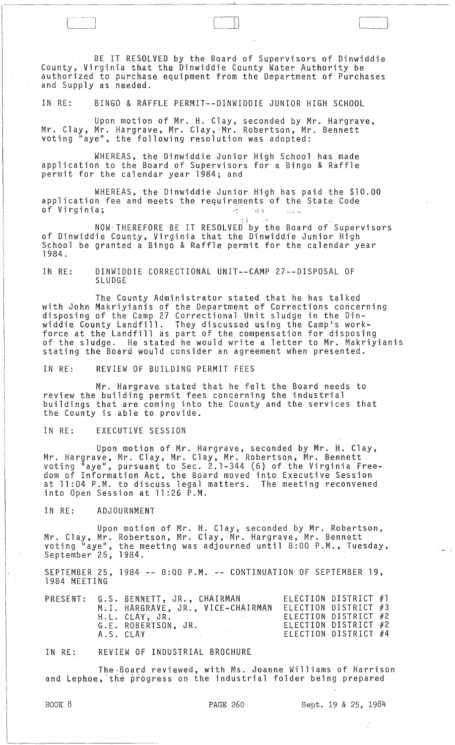BE IT RESOLVED by the Board of Supervisors of Dinwiddie County, Virginia that the Dinwiddie County Water Authority be authorized to purchase equipment from the Department of Purchases and Supply as needed.

 $\Box$ 

IN RE: BINGO & RAFFLE PERMIT--DINWIDDIE JUNIOR HIGH SCHOOL

Upon motion of Mr. H. Clay, seconded by Mr. Hargrave, Mr. Clay, Mr. Hargrave, Mr. Clay,"Mr. Robertson, Mr. Bennett voting "aye", the following resolution was adopted:

WHEREAS, the Dinwiddie Junior High School has made application to the Board of Supervisors for a Bingo & Raffle permit for the calendar year 1984; and

WHEREAS, the Dinwiddie Junior. High has paid the \$10.00 application fee and meets the requirements of the State Code<br>of Virginia: of Virginia;  $\mathcal{L}$  is the set of  $\mathcal{L}$  is the set of  $\mathcal{L}$ 

NOW THEREFORE BE IT RESOLVED by the Board of Supervisors of Dinwiddie County, Virginia that the Dinwiddie Junior High School be granted a Bingo & Raffle permit for the calendar year<br>1984.

IN RE: DINWIDDIE CORRECTIONAL UNIT--CAMP 27--DISPOSAL OF SLUDGE

The County Administrator stated that he has talked with John Makriyianis of the Department of Corrections concerning disposing of the Camp 27 Correctional Unit sludge in the Dinwiddie County Landfill. They discussed using the Camp's workforce at the Landfill as part of the cbmpensation for disposing of the sludge. He stated he would write a letter to Mr. Makriyianis<br>of the sludge. He stated he would write a letter to Mr. Makriyianis<br>stating the Board would consider an agreement when presented.

IN RE: REVIEW OF BUILDING PERMIT FEES

Mr. Hargrave stated that he felt the Board needs to review the building permit fees concerning the industrial buildings that are coming into the County and the services that the County is able to provide.

IN RE: EXECUTIVE SESSION

Upon motion of Mr. Hargrave, seconded by Mr. H. Clay, Mr. Hargrave,Mr. Clay, Mr. Clay, Mr. Robertson, Mr. Bennett voting "aye", pursuant to Sec. 2.1-344 (6) of the Virginia Freedom of Information Act, the Board moved into Executive Session at 11:04 P.M. to discuss legal matters. The meeting reconvened into Open Session at  $11:26$   $\overline{P.M.}$ 

IN RE: ADJOURNMENT

Upon mot·ion of Mr. H. Clay, seconded by Mr. Robertson, Mr. Clay, Mr. Robertson, Mr. Clay, Mr. Hargrave, Mr. Bennett voting "aye", the meeting was adjourned until  $8:00$  P.M., Tuesday, September 25, 1984.

SEPTEMBER 25, 1984 -- 8:00 P.M. -- CONTINUATION OF SEPTEMBER 19, 1984 MEETING

|  | PRESENT: G.S. BENNETT, JR., CHAIRMAN |                                      | ELECTION DISTRICT #1 |  |
|--|--------------------------------------|--------------------------------------|----------------------|--|
|  | M.I. HARGRAVE, JR., VICE-CHAIRMAN    |                                      | ELECTION DISTRICT #3 |  |
|  | H.L. CLAY, JR.                       | the control of the state and the co- | ELECTION DISTRICT #2 |  |
|  | G.E. ROBERTSON, JR.                  |                                      | ELECTION DISTRICT #2 |  |
|  | A.S. CLAY<br>and the state of the    |                                      | ELECTION DISTRICT #4 |  |

IN RE:. REVIEW OF INDUSTRIAL BROCHURE

The.Board reviewed, with Ms. Joanne Williams of Harrison and Lephoe, the progress on the industrial folder being prepared

...... :-